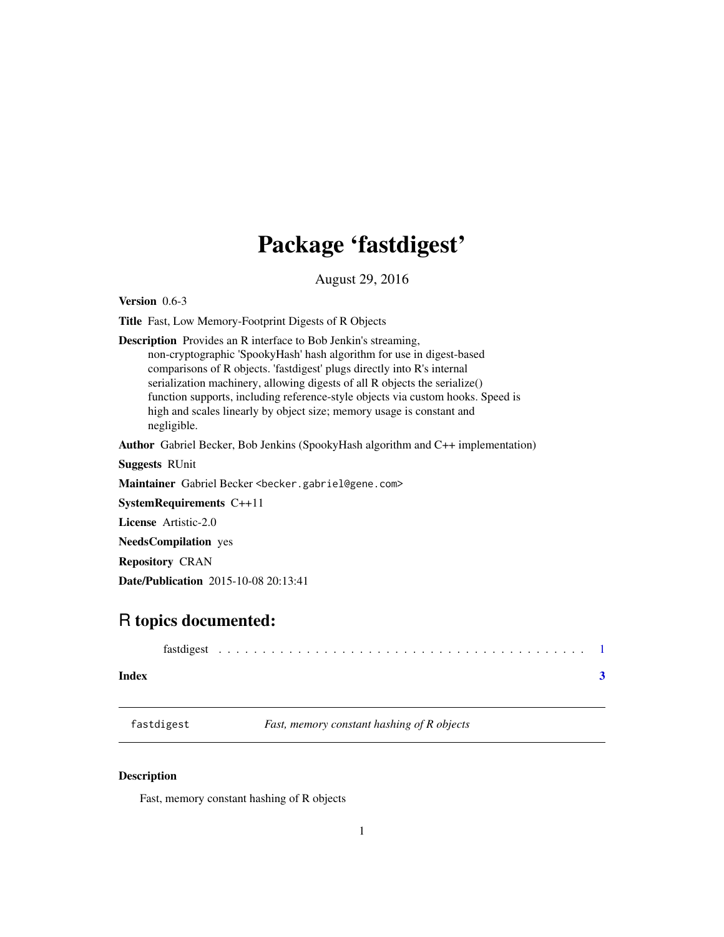## <span id="page-0-0"></span>Package 'fastdigest'

August 29, 2016

<span id="page-0-1"></span>Version 0.6-3

Title Fast, Low Memory-Footprint Digests of R Objects

Description Provides an R interface to Bob Jenkin's streaming, non-cryptographic 'SpookyHash' hash algorithm for use in digest-based comparisons of R objects. 'fastdigest' plugs directly into R's internal serialization machinery, allowing digests of all R objects the serialize() function supports, including reference-style objects via custom hooks. Speed is high and scales linearly by object size; memory usage is constant and negligible.

Author Gabriel Becker, Bob Jenkins (SpookyHash algorithm and C++ implementation)

Suggests RUnit

Maintainer Gabriel Becker <becker.gabriel@gene.com>

SystemRequirements C++11

License Artistic-2.0

NeedsCompilation yes

Repository CRAN

Date/Publication 2015-10-08 20:13:41

### R topics documented:

| Index |  |  |  |  |  |  |  |  |  |  |  |  |  |  |  |  |  |
|-------|--|--|--|--|--|--|--|--|--|--|--|--|--|--|--|--|--|

fastdigest *Fast, memory constant hashing of R objects*

#### Description

Fast, memory constant hashing of R objects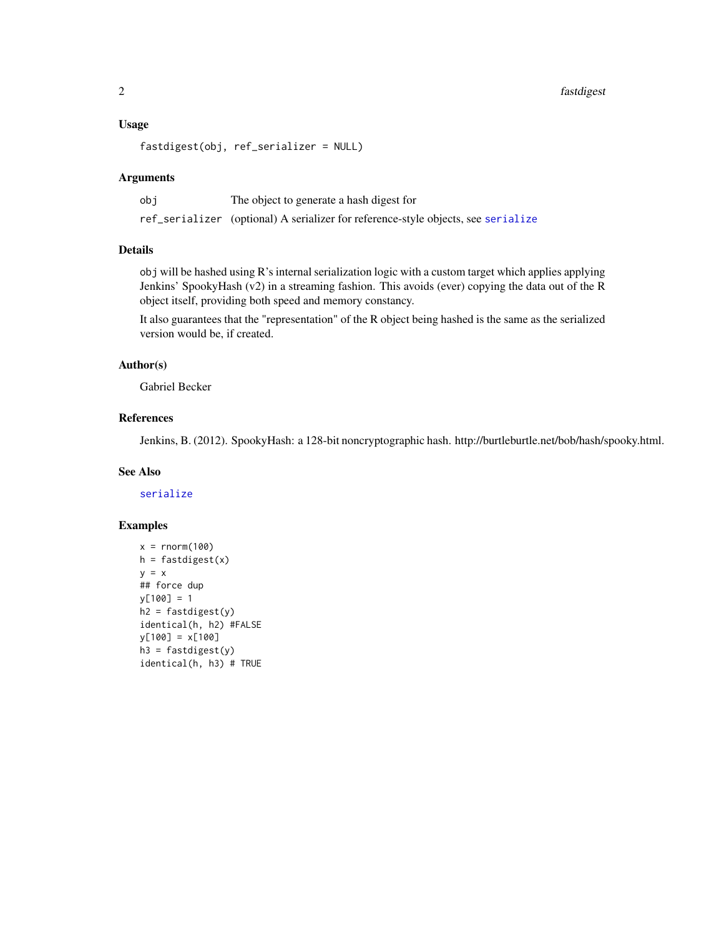#### <span id="page-1-0"></span>Usage

```
fastdigest(obj, ref_serializer = NULL)
```
#### Arguments

| obi | The object to generate a hash digest for                                          |
|-----|-----------------------------------------------------------------------------------|
|     | ref_serializer (optional) A serializer for reference-style objects, see serialize |

#### Details

obj will be hashed using R's internal serialization logic with a custom target which applies applying Jenkins' SpookyHash (v2) in a streaming fashion. This avoids (ever) copying the data out of the R object itself, providing both speed and memory constancy.

It also guarantees that the "representation" of the R object being hashed is the same as the serialized version would be, if created.

#### Author(s)

Gabriel Becker

#### References

Jenkins, B. (2012). SpookyHash: a 128-bit noncryptographic hash. http://burtleburtle.net/bob/hash/spooky.html.

#### See Also

[serialize](#page-0-1)

#### Examples

```
x = rnorm(100)h = fastdigest(x)y = x## force dup
y[100] = 1
h2 = fastdigest(y)identical(h, h2) #FALSE
y[100] = x[100]
h3 = fastdigest(y)
identical(h, h3) # TRUE
```